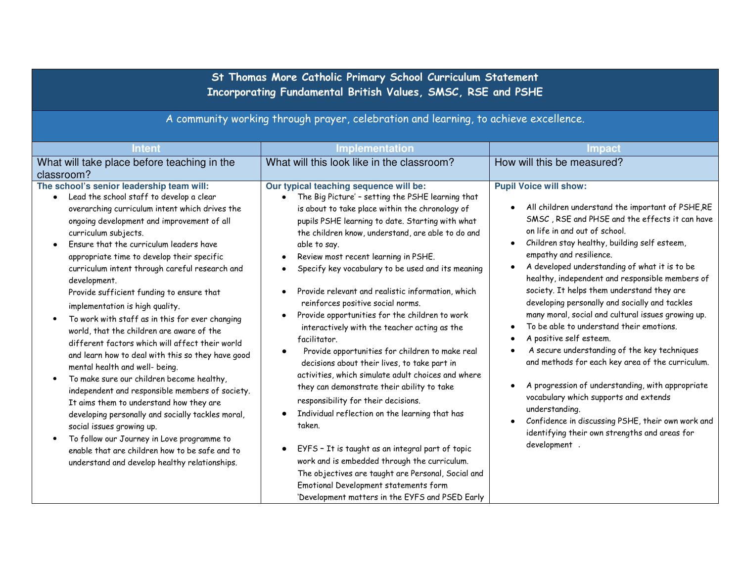**St Thomas More Catholic Primary School Curriculum Statement Incorporating Fundamental British Values, SMSC, RSE and PSHE** 

A community working through prayer, celebration and learning, to achieve excellence.

| <b>Intent</b>                                                                                                                                                                                                                                                                                                                                                                                                                                                                                                                                                                                                                                                                                                                                                                                                                                                                                                                                                                                                                                                                                                                        | <b>Implementation</b>                                                                                                                                                                                                                                                                                                                                                                                                                                                                                                                                                                                                                                                                                                                                                                                                                                                                                                                                                                                                                                                                                                                            | <b>Impact</b>                                                                                                                                                                                                                                                                                                                                                                                                                                                                                                                                                                                                                                                                                                                                                                                                                                                                                                                                                                |
|--------------------------------------------------------------------------------------------------------------------------------------------------------------------------------------------------------------------------------------------------------------------------------------------------------------------------------------------------------------------------------------------------------------------------------------------------------------------------------------------------------------------------------------------------------------------------------------------------------------------------------------------------------------------------------------------------------------------------------------------------------------------------------------------------------------------------------------------------------------------------------------------------------------------------------------------------------------------------------------------------------------------------------------------------------------------------------------------------------------------------------------|--------------------------------------------------------------------------------------------------------------------------------------------------------------------------------------------------------------------------------------------------------------------------------------------------------------------------------------------------------------------------------------------------------------------------------------------------------------------------------------------------------------------------------------------------------------------------------------------------------------------------------------------------------------------------------------------------------------------------------------------------------------------------------------------------------------------------------------------------------------------------------------------------------------------------------------------------------------------------------------------------------------------------------------------------------------------------------------------------------------------------------------------------|------------------------------------------------------------------------------------------------------------------------------------------------------------------------------------------------------------------------------------------------------------------------------------------------------------------------------------------------------------------------------------------------------------------------------------------------------------------------------------------------------------------------------------------------------------------------------------------------------------------------------------------------------------------------------------------------------------------------------------------------------------------------------------------------------------------------------------------------------------------------------------------------------------------------------------------------------------------------------|
| What will take place before teaching in the                                                                                                                                                                                                                                                                                                                                                                                                                                                                                                                                                                                                                                                                                                                                                                                                                                                                                                                                                                                                                                                                                          | What will this look like in the classroom?                                                                                                                                                                                                                                                                                                                                                                                                                                                                                                                                                                                                                                                                                                                                                                                                                                                                                                                                                                                                                                                                                                       | How will this be measured?                                                                                                                                                                                                                                                                                                                                                                                                                                                                                                                                                                                                                                                                                                                                                                                                                                                                                                                                                   |
| classroom?                                                                                                                                                                                                                                                                                                                                                                                                                                                                                                                                                                                                                                                                                                                                                                                                                                                                                                                                                                                                                                                                                                                           |                                                                                                                                                                                                                                                                                                                                                                                                                                                                                                                                                                                                                                                                                                                                                                                                                                                                                                                                                                                                                                                                                                                                                  |                                                                                                                                                                                                                                                                                                                                                                                                                                                                                                                                                                                                                                                                                                                                                                                                                                                                                                                                                                              |
| The school's senior leadership team will:<br>Lead the school staff to develop a clear<br>$\bullet$<br>overarching curriculum intent which drives the<br>ongoing development and improvement of all<br>curriculum subjects.<br>Ensure that the curriculum leaders have<br>$\bullet$<br>appropriate time to develop their specific<br>curriculum intent through careful research and<br>development.<br>Provide sufficient funding to ensure that<br>implementation is high quality.<br>To work with staff as in this for ever changing<br>$\bullet$<br>world, that the children are aware of the<br>different factors which will affect their world<br>and learn how to deal with this so they have good<br>mental health and well- being.<br>To make sure our children become healthy,<br>$\bullet$<br>independent and responsible members of society.<br>It aims them to understand how they are<br>developing personally and socially tackles moral,<br>social issues growing up.<br>To follow our Journey in Love programme to<br>enable that are children how to be safe and to<br>understand and develop healthy relationships. | Our typical teaching sequence will be:<br>The Big Picture' - setting the PSHE learning that<br>is about to take place within the chronology of<br>pupils PSHE learning to date. Starting with what<br>the children know, understand, are able to do and<br>able to say.<br>Review most recent learning in PSHE.<br>Specify key vocabulary to be used and its meaning<br>Provide relevant and realistic information, which<br>reinforces positive social norms.<br>Provide opportunities for the children to work<br>interactively with the teacher acting as the<br>facilitator.<br>Provide opportunities for children to make real<br>decisions about their lives, to take part in<br>activities, which simulate adult choices and where<br>they can demonstrate their ability to take<br>responsibility for their decisions.<br>Individual reflection on the learning that has<br>taken.<br>EYFS - It is taught as an integral part of topic<br>work and is embedded through the curriculum.<br>The objectives are taught are Personal, Social and<br>Emotional Development statements form<br>'Development matters in the EYFS and PSED Early | <b>Pupil Voice will show:</b><br>All children understand the important of PSHE,RE<br>$\bullet$<br>SMSC, RSE and PHSE and the effects it can have<br>on life in and out of school.<br>Children stay healthy, building self esteem,<br>$\bullet$<br>empathy and resilience.<br>A developed understanding of what it is to be<br>healthy, independent and responsible members of<br>society. It helps them understand they are<br>developing personally and socially and tackles<br>many moral, social and cultural issues growing up.<br>To be able to understand their emotions.<br>A positive self esteem.<br>A secure understanding of the key techniques<br>and methods for each key area of the curriculum.<br>A progression of understanding, with appropriate<br>$\bullet$<br>vocabulary which supports and extends<br>understanding.<br>Confidence in discussing PSHE, their own work and<br>$\bullet$<br>identifying their own strengths and areas for<br>development |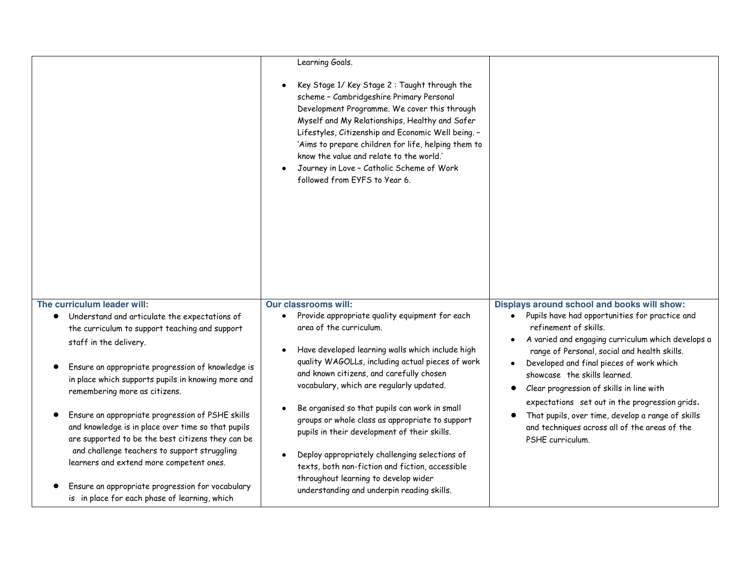|                                                                                                                                                             | Learning Goals.                                                                                                                                                                                                                                                                                                                                                                                                                   |                                                                                                                                                                                   |
|-------------------------------------------------------------------------------------------------------------------------------------------------------------|-----------------------------------------------------------------------------------------------------------------------------------------------------------------------------------------------------------------------------------------------------------------------------------------------------------------------------------------------------------------------------------------------------------------------------------|-----------------------------------------------------------------------------------------------------------------------------------------------------------------------------------|
|                                                                                                                                                             | Key Stage 1/ Key Stage 2: Taught through the<br>scheme - Cambridgeshire Primary Personal<br>Development Programme. We cover this through<br>Myself and My Relationships, Healthy and Safer<br>Lifestyles, Citizenship and Economic Well being. -<br>'Aims to prepare children for life, helping them to<br>know the value and relate to the world.'<br>Journey in Love - Catholic Scheme of Work<br>followed from EYFS to Year 6. |                                                                                                                                                                                   |
| The curriculum leader will:                                                                                                                                 | <b>Our classrooms will:</b><br>Provide appropriate quality equipment for each                                                                                                                                                                                                                                                                                                                                                     | Displays around school and books will show:<br>Pupils have had opportunities for practice and                                                                                     |
| • Understand and articulate the expectations of<br>the curriculum to support teaching and support                                                           | $\bullet$<br>area of the curriculum.                                                                                                                                                                                                                                                                                                                                                                                              | $\bullet$<br>refinement of skills.                                                                                                                                                |
| staff in the delivery.                                                                                                                                      |                                                                                                                                                                                                                                                                                                                                                                                                                                   | A varied and engaging curriculum which develops a<br>$\bullet$                                                                                                                    |
| Ensure an appropriate progression of knowledge is<br>in place which supports pupils in knowing more and<br>remembering more as citizens.                    | Have developed learning walls which include high<br>quality WAGOLLs, including actual pieces of work<br>and known citizens, and carefully chosen<br>vocabulary, which are regularly updated.                                                                                                                                                                                                                                      | range of Personal, social and health skills.<br>Developed and final pieces of work which<br>$\bullet$<br>showcase the skills learned.<br>Clear progression of skills in line with |
| Ensure an appropriate progression of PSHE skills<br>and knowledge is in place over time so that pupils<br>are supported to be the best citizens they can be | Be organised so that pupils can work in small<br>groups or whole class as appropriate to support<br>pupils in their development of their skills.                                                                                                                                                                                                                                                                                  | expectations set out in the progression grids.<br>That pupils, over time, develop a range of skills<br>and techniques across all of the areas of the<br>PSHE curriculum.          |
| and challenge teachers to support struggling<br>learners and extend more competent ones.                                                                    | Deploy appropriately challenging selections of<br>texts, both non-fiction and fiction, accessible                                                                                                                                                                                                                                                                                                                                 |                                                                                                                                                                                   |
| Ensure an appropriate progression for vocabulary<br>is in place for each phase of learning, which                                                           | throughout learning to develop wider<br>understanding and underpin reading skills.                                                                                                                                                                                                                                                                                                                                                |                                                                                                                                                                                   |